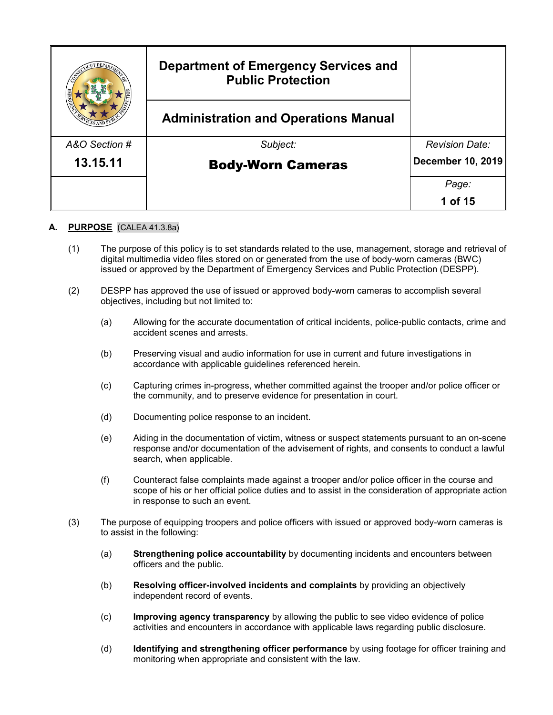|               | <b>Department of Emergency Services and</b><br><b>Public Protection</b> |                       |
|---------------|-------------------------------------------------------------------------|-----------------------|
|               | <b>Administration and Operations Manual</b>                             |                       |
| A&O Section # | Subject:                                                                | <b>Revision Date:</b> |
| 13.15.11      | <b>Body-Worn Cameras</b>                                                | December 10, 2019     |
|               |                                                                         | Page:                 |
|               |                                                                         | 1 of 15               |

# **A. PURPOSE** (CALEA 41.3.8a)

- (1) The purpose of this policy is to set standards related to the use, management, storage and retrieval of digital multimedia video files stored on or generated from the use of body-worn cameras (BWC) issued or approved by the Department of Emergency Services and Public Protection (DESPP).
- (2) DESPP has approved the use of issued or approved body-worn cameras to accomplish several objectives, including but not limited to:
	- (a) Allowing for the accurate documentation of critical incidents, police-public contacts, crime and accident scenes and arrests.
	- (b) Preserving visual and audio information for use in current and future investigations in accordance with applicable guidelines referenced herein.
	- (c) Capturing crimes in-progress, whether committed against the trooper and/or police officer or the community, and to preserve evidence for presentation in court.
	- (d) Documenting police response to an incident.
	- (e) Aiding in the documentation of victim, witness or suspect statements pursuant to an on-scene response and/or documentation of the advisement of rights, and consents to conduct a lawful search, when applicable.
	- (f) Counteract false complaints made against a trooper and/or police officer in the course and scope of his or her official police duties and to assist in the consideration of appropriate action in response to such an event.
- (3) The purpose of equipping troopers and police officers with issued or approved body-worn cameras is to assist in the following:
	- (a) **Strengthening police accountability** by documenting incidents and encounters between officers and the public.
	- (b) **Resolving officer-involved incidents and complaints** by providing an objectively independent record of events.
	- (c) **Improving agency transparency** by allowing the public to see video evidence of police activities and encounters in accordance with applicable laws regarding public disclosure.
	- (d) **Identifying and strengthening officer performance** by using footage for officer training and monitoring when appropriate and consistent with the law.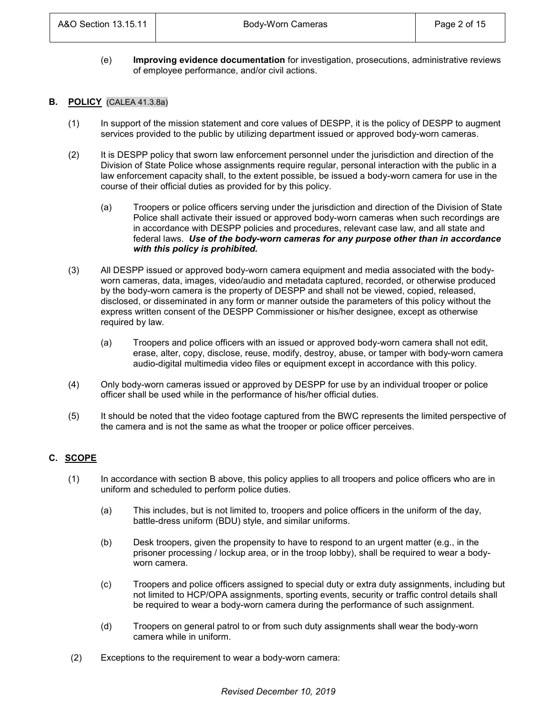(e) **Improving evidence documentation** for investigation, prosecutions, administrative reviews of employee performance, and/or civil actions.

### **B. POLICY** (CALEA 41.3.8a)

- (1) In support of the mission statement and core values of DESPP, it is the policy of DESPP to augment services provided to the public by utilizing department issued or approved body-worn cameras.
- (2) It is DESPP policy that sworn law enforcement personnel under the jurisdiction and direction of the Division of State Police whose assignments require regular, personal interaction with the public in a law enforcement capacity shall, to the extent possible, be issued a body-worn camera for use in the course of their official duties as provided for by this policy.
	- (a) Troopers or police officers serving under the jurisdiction and direction of the Division of State Police shall activate their issued or approved body-worn cameras when such recordings are in accordance with DESPP policies and procedures, relevant case law, and all state and federal laws. *Use of the body-worn cameras for any purpose other than in accordance with this policy is prohibited.*
- (3) All DESPP issued or approved body-worn camera equipment and media associated with the bodyworn cameras, data, images, video/audio and metadata captured, recorded, or otherwise produced by the body-worn camera is the property of DESPP and shall not be viewed, copied, released, disclosed, or disseminated in any form or manner outside the parameters of this policy without the express written consent of the DESPP Commissioner or his/her designee, except as otherwise required by law.
	- (a) Troopers and police officers with an issued or approved body-worn camera shall not edit, erase, alter, copy, disclose, reuse, modify, destroy, abuse, or tamper with body-worn camera audio-digital multimedia video files or equipment except in accordance with this policy.
- (4) Only body-worn cameras issued or approved by DESPP for use by an individual trooper or police officer shall be used while in the performance of his/her official duties.
- (5) It should be noted that the video footage captured from the BWC represents the limited perspective of the camera and is not the same as what the trooper or police officer perceives.

# **C. SCOPE**

- (1) In accordance with section B above, this policy applies to all troopers and police officers who are in uniform and scheduled to perform police duties.
	- (a) This includes, but is not limited to, troopers and police officers in the uniform of the day, battle-dress uniform (BDU) style, and similar uniforms.
	- (b) Desk troopers, given the propensity to have to respond to an urgent matter (e.g., in the prisoner processing / lockup area, or in the troop lobby), shall be required to wear a bodyworn camera.
	- (c) Troopers and police officers assigned to special duty or extra duty assignments, including but not limited to HCP/OPA assignments, sporting events, security or traffic control details shall be required to wear a body-worn camera during the performance of such assignment.
	- (d) Troopers on general patrol to or from such duty assignments shall wear the body-worn camera while in uniform.
- (2) Exceptions to the requirement to wear a body-worn camera: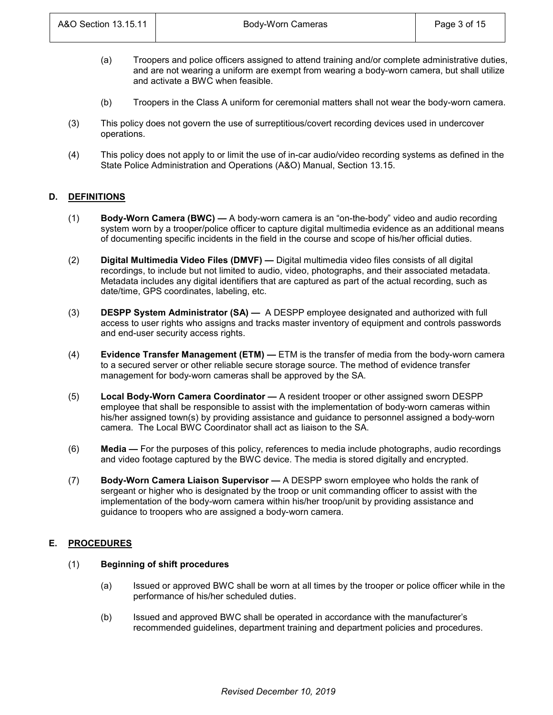- (a) Troopers and police officers assigned to attend training and/or complete administrative duties, and are not wearing a uniform are exempt from wearing a body-worn camera, but shall utilize and activate a BWC when feasible.
- (b) Troopers in the Class A uniform for ceremonial matters shall not wear the body-worn camera.
- (3) This policy does not govern the use of surreptitious/covert recording devices used in undercover operations.
- (4) This policy does not apply to or limit the use of in-car audio/video recording systems as defined in the State Police Administration and Operations (A&O) Manual, Section 13.15.

# **D. DEFINITIONS**

- (1) **Body-Worn Camera (BWC) —** A body-worn camera is an "on-the-body" video and audio recording system worn by a trooper/police officer to capture digital multimedia evidence as an additional means of documenting specific incidents in the field in the course and scope of his/her official duties.
- (2) **Digital Multimedia Video Files (DMVF) —** Digital multimedia video files consists of all digital recordings, to include but not limited to audio, video, photographs, and their associated metadata. Metadata includes any digital identifiers that are captured as part of the actual recording, such as date/time, GPS coordinates, labeling, etc.
- (3) **DESPP System Administrator (SA) —** A DESPP employee designated and authorized with full access to user rights who assigns and tracks master inventory of equipment and controls passwords and end-user security access rights.
- (4) **Evidence Transfer Management (ETM) —** ETM is the transfer of media from the body-worn camera to a secured server or other reliable secure storage source. The method of evidence transfer management for body-worn cameras shall be approved by the SA.
- (5) **Local Body-Worn Camera Coordinator —** A resident trooper or other assigned sworn DESPP employee that shall be responsible to assist with the implementation of body-worn cameras within his/her assigned town(s) by providing assistance and guidance to personnel assigned a body-worn camera. The Local BWC Coordinator shall act as liaison to the SA.
- (6) **Media —** For the purposes of this policy, references to media include photographs, audio recordings and video footage captured by the BWC device. The media is stored digitally and encrypted.
- (7) **Body-Worn Camera Liaison Supervisor —** A DESPP sworn employee who holds the rank of sergeant or higher who is designated by the troop or unit commanding officer to assist with the implementation of the body-worn camera within his/her troop/unit by providing assistance and guidance to troopers who are assigned a body-worn camera.

# **E. PROCEDURES**

#### (1) **Beginning of shift procedures**

- (a) Issued or approved BWC shall be worn at all times by the trooper or police officer while in the performance of his/her scheduled duties.
- (b) Issued and approved BWC shall be operated in accordance with the manufacturer's recommended guidelines, department training and department policies and procedures.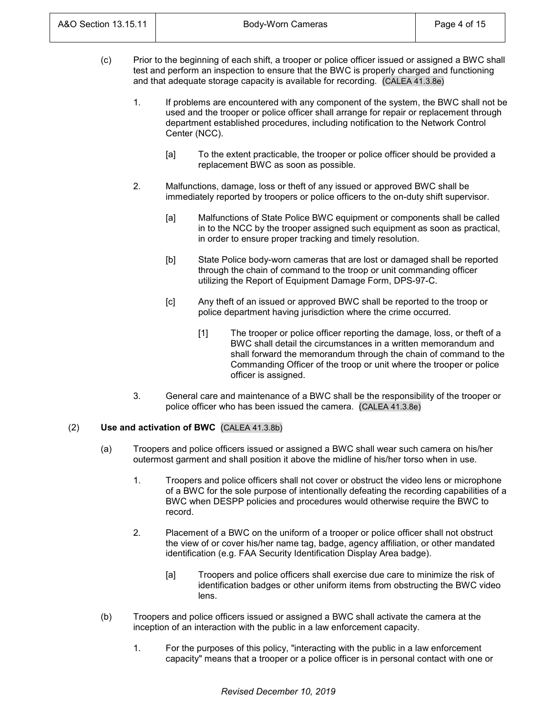- (c) Prior to the beginning of each shift, a trooper or police officer issued or assigned a BWC shall test and perform an inspection to ensure that the BWC is properly charged and functioning and that adequate storage capacity is available for recording. (CALEA 41.3.8e)
	- 1. If problems are encountered with any component of the system, the BWC shall not be used and the trooper or police officer shall arrange for repair or replacement through department established procedures, including notification to the Network Control Center (NCC).
		- [a] To the extent practicable, the trooper or police officer should be provided a replacement BWC as soon as possible.
	- 2. Malfunctions, damage, loss or theft of any issued or approved BWC shall be immediately reported by troopers or police officers to the on-duty shift supervisor.
		- [a] Malfunctions of State Police BWC equipment or components shall be called in to the NCC by the trooper assigned such equipment as soon as practical, in order to ensure proper tracking and timely resolution.
		- [b] State Police body-worn cameras that are lost or damaged shall be reported through the chain of command to the troop or unit commanding officer utilizing the Report of Equipment Damage Form, DPS-97-C.
		- [c] Any theft of an issued or approved BWC shall be reported to the troop or police department having jurisdiction where the crime occurred.
			- [1] The trooper or police officer reporting the damage, loss, or theft of a BWC shall detail the circumstances in a written memorandum and shall forward the memorandum through the chain of command to the Commanding Officer of the troop or unit where the trooper or police officer is assigned.
	- 3. General care and maintenance of a BWC shall be the responsibility of the trooper or police officer who has been issued the camera. (CALEA 41.3.8e)

# (2) **Use and activation of BWC** (CALEA 41.3.8b)

- (a) Troopers and police officers issued or assigned a BWC shall wear such camera on his/her outermost garment and shall position it above the midline of his/her torso when in use.
	- 1. Troopers and police officers shall not cover or obstruct the video lens or microphone of a BWC for the sole purpose of intentionally defeating the recording capabilities of a BWC when DESPP policies and procedures would otherwise require the BWC to record.
	- 2. Placement of a BWC on the uniform of a trooper or police officer shall not obstruct the view of or cover his/her name tag, badge, agency affiliation, or other mandated identification (e.g. FAA Security Identification Display Area badge).
		- [a] Troopers and police officers shall exercise due care to minimize the risk of identification badges or other uniform items from obstructing the BWC video lens.
- (b) Troopers and police officers issued or assigned a BWC shall activate the camera at the inception of an interaction with the public in a law enforcement capacity.
	- 1. For the purposes of this policy, "interacting with the public in a law enforcement capacity" means that a trooper or a police officer is in personal contact with one or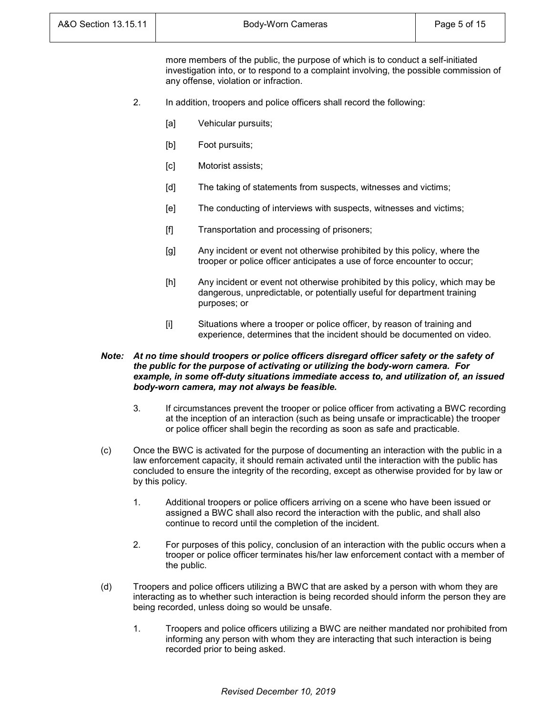more members of the public, the purpose of which is to conduct a self-initiated investigation into, or to respond to a complaint involving, the possible commission of any offense, violation or infraction.

- 2. In addition, troopers and police officers shall record the following:
	- [a] Vehicular pursuits;
	- [b] Foot pursuits;
	- [c] Motorist assists;
	- [d] The taking of statements from suspects, witnesses and victims;
	- [e] The conducting of interviews with suspects, witnesses and victims;
	- [f] Transportation and processing of prisoners;
	- [g] Any incident or event not otherwise prohibited by this policy, where the trooper or police officer anticipates a use of force encounter to occur;
	- [h] Any incident or event not otherwise prohibited by this policy, which may be dangerous, unpredictable, or potentially useful for department training purposes; or
	- [i] Situations where a trooper or police officer, by reason of training and experience, determines that the incident should be documented on video.

#### *Note: At no time should troopers or police officers disregard officer safety or the safety of the public for the purpose of activating or utilizing the body-worn camera. For example, in some off-duty situations immediate access to, and utilization of, an issued body-worn camera, may not always be feasible.*

- 3. If circumstances prevent the trooper or police officer from activating a BWC recording at the inception of an interaction (such as being unsafe or impracticable) the trooper or police officer shall begin the recording as soon as safe and practicable.
- (c) Once the BWC is activated for the purpose of documenting an interaction with the public in a law enforcement capacity, it should remain activated until the interaction with the public has concluded to ensure the integrity of the recording, except as otherwise provided for by law or by this policy.
	- 1. Additional troopers or police officers arriving on a scene who have been issued or assigned a BWC shall also record the interaction with the public, and shall also continue to record until the completion of the incident.
	- 2. For purposes of this policy, conclusion of an interaction with the public occurs when a trooper or police officer terminates his/her law enforcement contact with a member of the public.
- (d) Troopers and police officers utilizing a BWC that are asked by a person with whom they are interacting as to whether such interaction is being recorded should inform the person they are being recorded, unless doing so would be unsafe.
	- 1. Troopers and police officers utilizing a BWC are neither mandated nor prohibited from informing any person with whom they are interacting that such interaction is being recorded prior to being asked.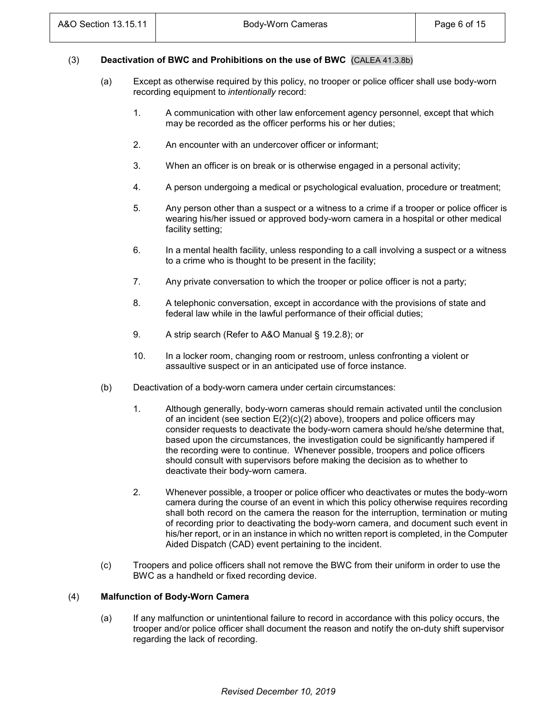### (3) **Deactivation of BWC and Prohibitions on the use of BWC** (CALEA 41.3.8b)

- (a) Except as otherwise required by this policy, no trooper or police officer shall use body-worn recording equipment to *intentionally* record:
	- 1. A communication with other law enforcement agency personnel, except that which may be recorded as the officer performs his or her duties;
	- 2. An encounter with an undercover officer or informant;
	- 3. When an officer is on break or is otherwise engaged in a personal activity;
	- 4. A person undergoing a medical or psychological evaluation, procedure or treatment;
	- 5. Any person other than a suspect or a witness to a crime if a trooper or police officer is wearing his/her issued or approved body-worn camera in a hospital or other medical facility setting;
	- 6. In a mental health facility, unless responding to a call involving a suspect or a witness to a crime who is thought to be present in the facility;
	- 7. Any private conversation to which the trooper or police officer is not a party;
	- 8. A telephonic conversation, except in accordance with the provisions of state and federal law while in the lawful performance of their official duties;
	- 9. A strip search (Refer to A&O Manual § 19.2.8); or
	- 10. In a locker room, changing room or restroom, unless confronting a violent or assaultive suspect or in an anticipated use of force instance.
- (b) Deactivation of a body-worn camera under certain circumstances:
	- 1. Although generally, body-worn cameras should remain activated until the conclusion of an incident (see section  $E(2)(c)(2)$  above), troopers and police officers may consider requests to deactivate the body-worn camera should he/she determine that, based upon the circumstances, the investigation could be significantly hampered if the recording were to continue. Whenever possible, troopers and police officers should consult with supervisors before making the decision as to whether to deactivate their body-worn camera.
	- 2. Whenever possible, a trooper or police officer who deactivates or mutes the body-worn camera during the course of an event in which this policy otherwise requires recording shall both record on the camera the reason for the interruption, termination or muting of recording prior to deactivating the body-worn camera, and document such event in his/her report, or in an instance in which no written report is completed, in the Computer Aided Dispatch (CAD) event pertaining to the incident.
- (c) Troopers and police officers shall not remove the BWC from their uniform in order to use the BWC as a handheld or fixed recording device.

#### (4) **Malfunction of Body-Worn Camera**

(a) If any malfunction or unintentional failure to record in accordance with this policy occurs, the trooper and/or police officer shall document the reason and notify the on-duty shift supervisor regarding the lack of recording.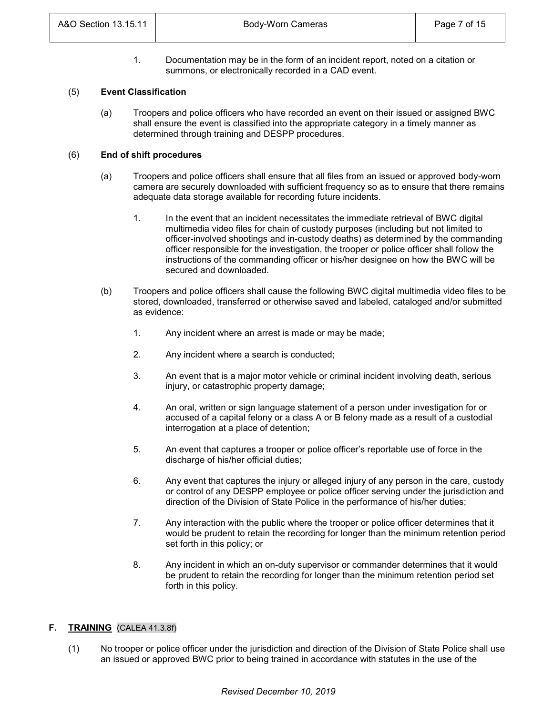1. Documentation may be in the form of an incident report, noted on a citation or summons, or electronically recorded in a CAD event.

#### (5) **Event Classification**

(a) Troopers and police officers who have recorded an event on their issued or assigned BWC shall ensure the event is classified into the appropriate category in a timely manner as determined through training and DESPP procedures.

#### (6) **End of shift procedures**

- (a) Troopers and police officers shall ensure that all files from an issued or approved body-worn camera are securely downloaded with sufficient frequency so as to ensure that there remains adequate data storage available for recording future incidents.
	- 1. In the event that an incident necessitates the immediate retrieval of BWC digital multimedia video files for chain of custody purposes (including but not limited to officer-involved shootings and in-custody deaths) as determined by the commanding officer responsible for the investigation, the trooper or police officer shall follow the instructions of the commanding officer or his/her designee on how the BWC will be secured and downloaded.
- (b) Troopers and police officers shall cause the following BWC digital multimedia video files to be stored, downloaded, transferred or otherwise saved and labeled, cataloged and/or submitted as evidence:
	- 1. Any incident where an arrest is made or may be made;
	- 2. Any incident where a search is conducted;
	- 3. An event that is a major motor vehicle or criminal incident involving death, serious injury, or catastrophic property damage;
	- 4. An oral, written or sign language statement of a person under investigation for or accused of a capital felony or a class A or B felony made as a result of a custodial interrogation at a place of detention;
	- 5. An event that captures a trooper or police officer's reportable use of force in the discharge of his/her official duties;
	- 6. Any event that captures the injury or alleged injury of any person in the care, custody or control of any DESPP employee or police officer serving under the jurisdiction and direction of the Division of State Police in the performance of his/her duties;
	- 7. Any interaction with the public where the trooper or police officer determines that it would be prudent to retain the recording for longer than the minimum retention period set forth in this policy; or
	- 8. Any incident in which an on-duty supervisor or commander determines that it would be prudent to retain the recording for longer than the minimum retention period set forth in this policy.

# **F. TRAINING** (CALEA 41.3.8f)

(1) No trooper or police officer under the jurisdiction and direction of the Division of State Police shall use an issued or approved BWC prior to being trained in accordance with statutes in the use of the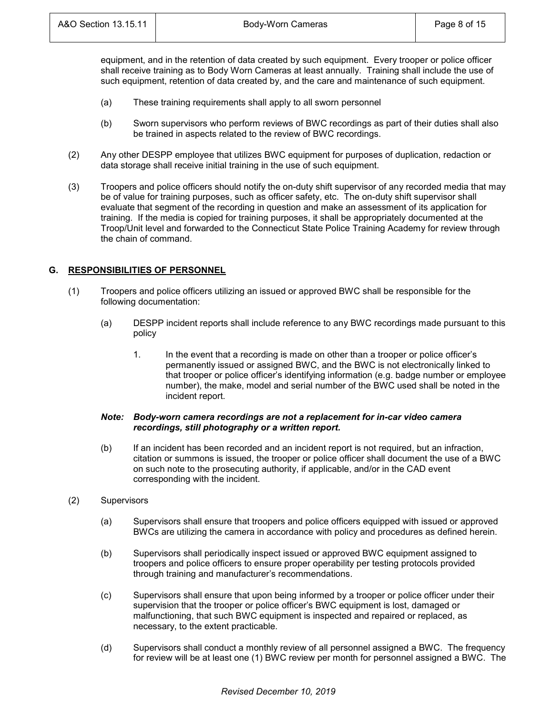equipment, and in the retention of data created by such equipment. Every trooper or police officer shall receive training as to Body Worn Cameras at least annually. Training shall include the use of such equipment, retention of data created by, and the care and maintenance of such equipment.

- (a) These training requirements shall apply to all sworn personnel
- (b) Sworn supervisors who perform reviews of BWC recordings as part of their duties shall also be trained in aspects related to the review of BWC recordings.
- (2) Any other DESPP employee that utilizes BWC equipment for purposes of duplication, redaction or data storage shall receive initial training in the use of such equipment.
- (3) Troopers and police officers should notify the on-duty shift supervisor of any recorded media that may be of value for training purposes, such as officer safety, etc. The on-duty shift supervisor shall evaluate that segment of the recording in question and make an assessment of its application for training. If the media is copied for training purposes, it shall be appropriately documented at the Troop/Unit level and forwarded to the Connecticut State Police Training Academy for review through the chain of command.

# **G. RESPONSIBILITIES OF PERSONNEL**

- (1) Troopers and police officers utilizing an issued or approved BWC shall be responsible for the following documentation:
	- (a) DESPP incident reports shall include reference to any BWC recordings made pursuant to this policy
		- 1. In the event that a recording is made on other than a trooper or police officer's permanently issued or assigned BWC, and the BWC is not electronically linked to that trooper or police officer's identifying information (e.g. badge number or employee number), the make, model and serial number of the BWC used shall be noted in the incident report.

#### *Note: Body-worn camera recordings are not a replacement for in-car video camera recordings, still photography or a written report.*

- (b) If an incident has been recorded and an incident report is not required, but an infraction, citation or summons is issued, the trooper or police officer shall document the use of a BWC on such note to the prosecuting authority, if applicable, and/or in the CAD event corresponding with the incident.
- (2) Supervisors
	- (a) Supervisors shall ensure that troopers and police officers equipped with issued or approved BWCs are utilizing the camera in accordance with policy and procedures as defined herein.
	- (b) Supervisors shall periodically inspect issued or approved BWC equipment assigned to troopers and police officers to ensure proper operability per testing protocols provided through training and manufacturer's recommendations.
	- (c) Supervisors shall ensure that upon being informed by a trooper or police officer under their supervision that the trooper or police officer's BWC equipment is lost, damaged or malfunctioning, that such BWC equipment is inspected and repaired or replaced, as necessary, to the extent practicable.
	- (d) Supervisors shall conduct a monthly review of all personnel assigned a BWC. The frequency for review will be at least one (1) BWC review per month for personnel assigned a BWC. The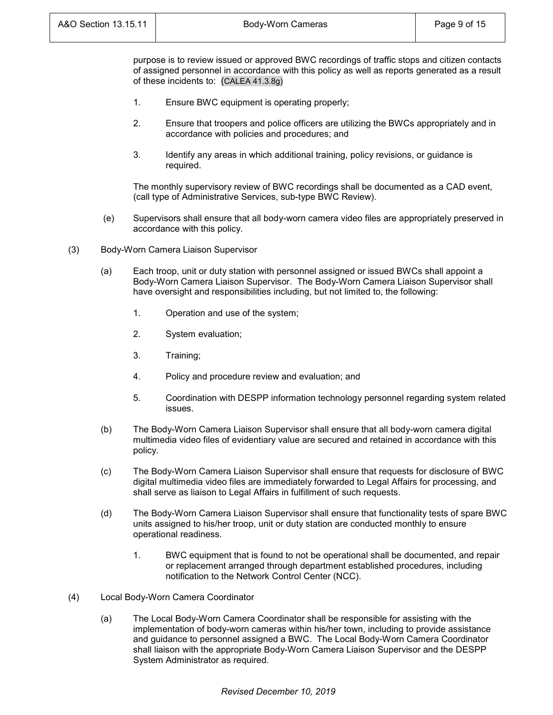purpose is to review issued or approved BWC recordings of traffic stops and citizen contacts of assigned personnel in accordance with this policy as well as reports generated as a result of these incidents to: (CALEA 41.3.8g)

- 1. Ensure BWC equipment is operating properly;
- 2. Ensure that troopers and police officers are utilizing the BWCs appropriately and in accordance with policies and procedures; and
- 3. Identify any areas in which additional training, policy revisions, or guidance is required.

The monthly supervisory review of BWC recordings shall be documented as a CAD event, (call type of Administrative Services, sub-type BWC Review).

- (e) Supervisors shall ensure that all body-worn camera video files are appropriately preserved in accordance with this policy.
- (3) Body-Worn Camera Liaison Supervisor
	- (a) Each troop, unit or duty station with personnel assigned or issued BWCs shall appoint a Body-Worn Camera Liaison Supervisor. The Body-Worn Camera Liaison Supervisor shall have oversight and responsibilities including, but not limited to, the following:
		- 1. Operation and use of the system;
		- 2. System evaluation;
		- 3. Training;
		- 4. Policy and procedure review and evaluation; and
		- 5. Coordination with DESPP information technology personnel regarding system related issues.
	- (b) The Body-Worn Camera Liaison Supervisor shall ensure that all body-worn camera digital multimedia video files of evidentiary value are secured and retained in accordance with this policy.
	- (c) The Body-Worn Camera Liaison Supervisor shall ensure that requests for disclosure of BWC digital multimedia video files are immediately forwarded to Legal Affairs for processing, and shall serve as liaison to Legal Affairs in fulfillment of such requests.
	- (d) The Body-Worn Camera Liaison Supervisor shall ensure that functionality tests of spare BWC units assigned to his/her troop, unit or duty station are conducted monthly to ensure operational readiness.
		- 1. BWC equipment that is found to not be operational shall be documented, and repair or replacement arranged through department established procedures, including notification to the Network Control Center (NCC).
- (4) Local Body-Worn Camera Coordinator
	- (a) The Local Body-Worn Camera Coordinator shall be responsible for assisting with the implementation of body-worn cameras within his/her town, including to provide assistance and guidance to personnel assigned a BWC. The Local Body-Worn Camera Coordinator shall liaison with the appropriate Body-Worn Camera Liaison Supervisor and the DESPP System Administrator as required.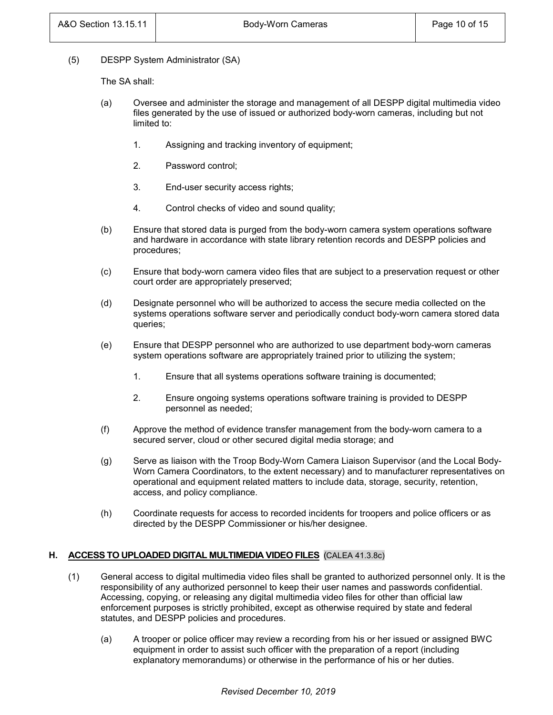(5) DESPP System Administrator (SA)

The SA shall:

- (a) Oversee and administer the storage and management of all DESPP digital multimedia video files generated by the use of issued or authorized body-worn cameras, including but not limited to:
	- 1. Assigning and tracking inventory of equipment;
	- 2. Password control;
	- 3. End-user security access rights;
	- 4. Control checks of video and sound quality;
- (b) Ensure that stored data is purged from the body-worn camera system operations software and hardware in accordance with state library retention records and DESPP policies and procedures;
- (c) Ensure that body-worn camera video files that are subject to a preservation request or other court order are appropriately preserved;
- (d) Designate personnel who will be authorized to access the secure media collected on the systems operations software server and periodically conduct body-worn camera stored data queries;
- (e) Ensure that DESPP personnel who are authorized to use department body-worn cameras system operations software are appropriately trained prior to utilizing the system;
	- 1. Ensure that all systems operations software training is documented;
	- 2. Ensure ongoing systems operations software training is provided to DESPP personnel as needed;
- (f) Approve the method of evidence transfer management from the body-worn camera to a secured server, cloud or other secured digital media storage; and
- (g) Serve as liaison with the Troop Body-Worn Camera Liaison Supervisor (and the Local Body-Worn Camera Coordinators, to the extent necessary) and to manufacturer representatives on operational and equipment related matters to include data, storage, security, retention, access, and policy compliance.
- (h) Coordinate requests for access to recorded incidents for troopers and police officers or as directed by the DESPP Commissioner or his/her designee.

# **H. ACCESS TO UPLOADED DIGITAL MULTIMEDIA VIDEO FILES** (CALEA 41.3.8c)

- (1) General access to digital multimedia video files shall be granted to authorized personnel only. It is the responsibility of any authorized personnel to keep their user names and passwords confidential. Accessing, copying, or releasing any digital multimedia video files for other than official law enforcement purposes is strictly prohibited, except as otherwise required by state and federal statutes, and DESPP policies and procedures.
	- (a) A trooper or police officer may review a recording from his or her issued or assigned BWC equipment in order to assist such officer with the preparation of a report (including explanatory memorandums) or otherwise in the performance of his or her duties.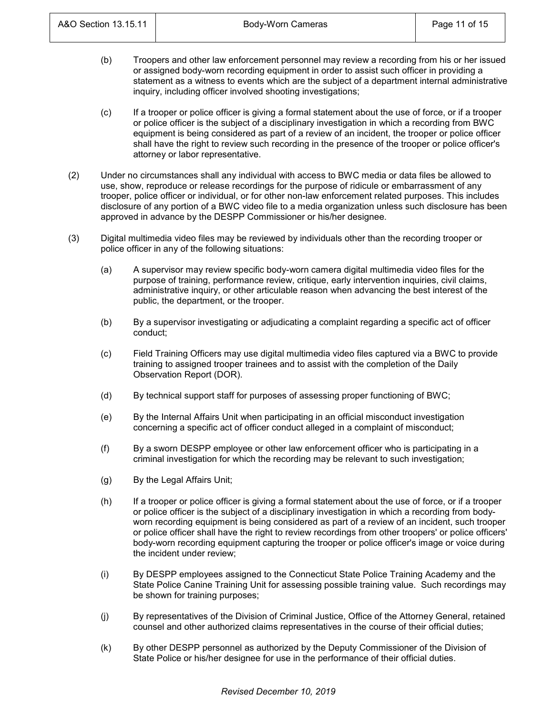- (b) Troopers and other law enforcement personnel may review a recording from his or her issued or assigned body-worn recording equipment in order to assist such officer in providing a statement as a witness to events which are the subject of a department internal administrative inquiry, including officer involved shooting investigations;
- (c) If a trooper or police officer is giving a formal statement about the use of force, or if a trooper or police officer is the subject of a disciplinary investigation in which a recording from BWC equipment is being considered as part of a review of an incident, the trooper or police officer shall have the right to review such recording in the presence of the trooper or police officer's attorney or labor representative.
- (2) Under no circumstances shall any individual with access to BWC media or data files be allowed to use, show, reproduce or release recordings for the purpose of ridicule or embarrassment of any trooper, police officer or individual, or for other non-law enforcement related purposes. This includes disclosure of any portion of a BWC video file to a media organization unless such disclosure has been approved in advance by the DESPP Commissioner or his/her designee.
- (3) Digital multimedia video files may be reviewed by individuals other than the recording trooper or police officer in any of the following situations:
	- (a) A supervisor may review specific body-worn camera digital multimedia video files for the purpose of training, performance review, critique, early intervention inquiries, civil claims, administrative inquiry, or other articulable reason when advancing the best interest of the public, the department, or the trooper.
	- (b) By a supervisor investigating or adjudicating a complaint regarding a specific act of officer conduct;
	- (c) Field Training Officers may use digital multimedia video files captured via a BWC to provide training to assigned trooper trainees and to assist with the completion of the Daily Observation Report (DOR).
	- (d) By technical support staff for purposes of assessing proper functioning of BWC;
	- (e) By the Internal Affairs Unit when participating in an official misconduct investigation concerning a specific act of officer conduct alleged in a complaint of misconduct;
	- (f) By a sworn DESPP employee or other law enforcement officer who is participating in a criminal investigation for which the recording may be relevant to such investigation;
	- (g) By the Legal Affairs Unit;
	- (h) If a trooper or police officer is giving a formal statement about the use of force, or if a trooper or police officer is the subject of a disciplinary investigation in which a recording from bodyworn recording equipment is being considered as part of a review of an incident, such trooper or police officer shall have the right to review recordings from other troopers' or police officers' body-worn recording equipment capturing the trooper or police officer's image or voice during the incident under review;
	- (i) By DESPP employees assigned to the Connecticut State Police Training Academy and the State Police Canine Training Unit for assessing possible training value. Such recordings may be shown for training purposes;
	- (j) By representatives of the Division of Criminal Justice, Office of the Attorney General, retained counsel and other authorized claims representatives in the course of their official duties;
	- (k) By other DESPP personnel as authorized by the Deputy Commissioner of the Division of State Police or his/her designee for use in the performance of their official duties.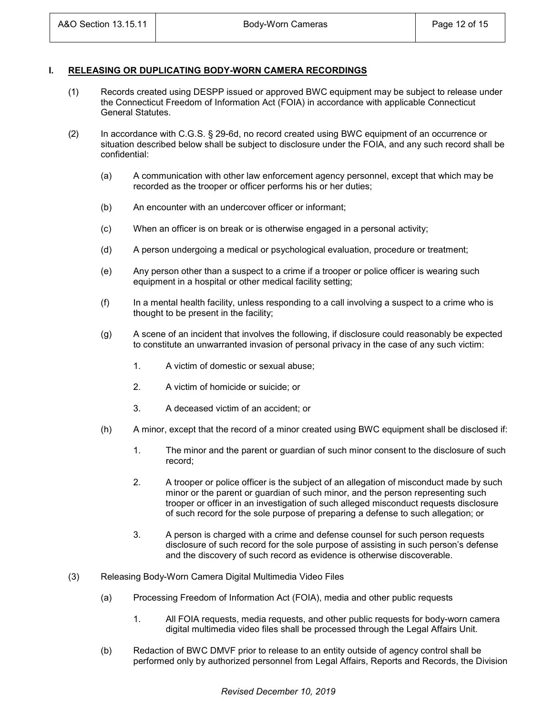### **I. RELEASING OR DUPLICATING BODY-WORN CAMERA RECORDINGS**

- (1) Records created using DESPP issued or approved BWC equipment may be subject to release under the Connecticut Freedom of Information Act (FOIA) in accordance with applicable Connecticut General Statutes.
- (2) In accordance with C.G.S. § 29-6d, no record created using BWC equipment of an occurrence or situation described below shall be subject to disclosure under the FOIA, and any such record shall be confidential:
	- (a) A communication with other law enforcement agency personnel, except that which may be recorded as the trooper or officer performs his or her duties;
	- (b) An encounter with an undercover officer or informant;
	- (c) When an officer is on break or is otherwise engaged in a personal activity;
	- (d) A person undergoing a medical or psychological evaluation, procedure or treatment;
	- (e) Any person other than a suspect to a crime if a trooper or police officer is wearing such equipment in a hospital or other medical facility setting;
	- (f) In a mental health facility, unless responding to a call involving a suspect to a crime who is thought to be present in the facility;
	- (g) A scene of an incident that involves the following, if disclosure could reasonably be expected to constitute an unwarranted invasion of personal privacy in the case of any such victim:
		- 1. A victim of domestic or sexual abuse;
		- 2. A victim of homicide or suicide; or
		- 3. A deceased victim of an accident; or
	- (h) A minor, except that the record of a minor created using BWC equipment shall be disclosed if:
		- 1. The minor and the parent or guardian of such minor consent to the disclosure of such record;
		- 2. A trooper or police officer is the subject of an allegation of misconduct made by such minor or the parent or guardian of such minor, and the person representing such trooper or officer in an investigation of such alleged misconduct requests disclosure of such record for the sole purpose of preparing a defense to such allegation; or
		- 3. A person is charged with a crime and defense counsel for such person requests disclosure of such record for the sole purpose of assisting in such person's defense and the discovery of such record as evidence is otherwise discoverable.
- (3) Releasing Body-Worn Camera Digital Multimedia Video Files
	- (a) Processing Freedom of Information Act (FOIA), media and other public requests
		- 1. All FOIA requests, media requests, and other public requests for body-worn camera digital multimedia video files shall be processed through the Legal Affairs Unit.
	- (b) Redaction of BWC DMVF prior to release to an entity outside of agency control shall be performed only by authorized personnel from Legal Affairs, Reports and Records, the Division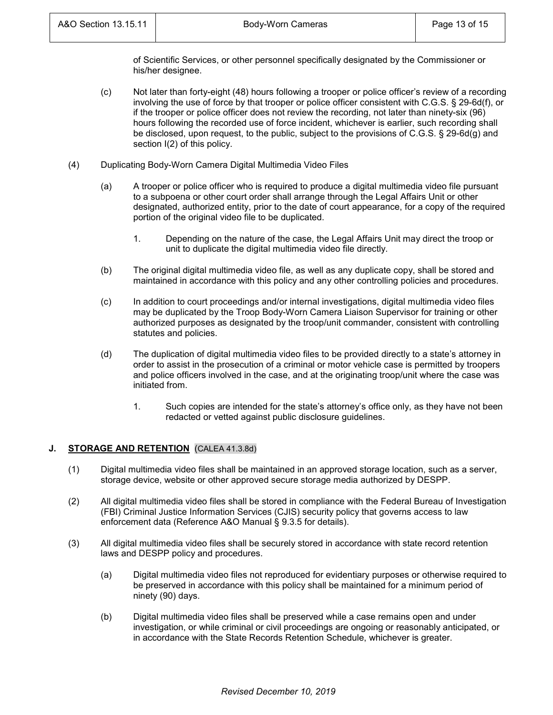of Scientific Services, or other personnel specifically designated by the Commissioner or his/her designee.

- (c) Not later than forty-eight (48) hours following a trooper or police officer's review of a recording involving the use of force by that trooper or police officer consistent with C.G.S. § 29-6d(f), or if the trooper or police officer does not review the recording, not later than ninety-six (96) hours following the recorded use of force incident, whichever is earlier, such recording shall be disclosed, upon request, to the public, subject to the provisions of C.G.S. § 29-6d(g) and section  $I(2)$  of this policy.
- (4) Duplicating Body-Worn Camera Digital Multimedia Video Files
	- (a) A trooper or police officer who is required to produce a digital multimedia video file pursuant to a subpoena or other court order shall arrange through the Legal Affairs Unit or other designated, authorized entity, prior to the date of court appearance, for a copy of the required portion of the original video file to be duplicated.
		- 1. Depending on the nature of the case, the Legal Affairs Unit may direct the troop or unit to duplicate the digital multimedia video file directly.
	- (b) The original digital multimedia video file, as well as any duplicate copy, shall be stored and maintained in accordance with this policy and any other controlling policies and procedures.
	- (c) In addition to court proceedings and/or internal investigations, digital multimedia video files may be duplicated by the Troop Body-Worn Camera Liaison Supervisor for training or other authorized purposes as designated by the troop/unit commander, consistent with controlling statutes and policies.
	- (d) The duplication of digital multimedia video files to be provided directly to a state's attorney in order to assist in the prosecution of a criminal or motor vehicle case is permitted by troopers and police officers involved in the case, and at the originating troop/unit where the case was initiated from.
		- 1. Such copies are intended for the state's attorney's office only, as they have not been redacted or vetted against public disclosure guidelines.

# **J. STORAGE AND RETENTION** (CALEA 41.3.8d)

- (1) Digital multimedia video files shall be maintained in an approved storage location, such as a server, storage device, website or other approved secure storage media authorized by DESPP.
- (2) All digital multimedia video files shall be stored in compliance with the Federal Bureau of Investigation (FBI) Criminal Justice Information Services (CJIS) security policy that governs access to law enforcement data (Reference A&O Manual § 9.3.5 for details).
- (3) All digital multimedia video files shall be securely stored in accordance with state record retention laws and DESPP policy and procedures.
	- (a) Digital multimedia video files not reproduced for evidentiary purposes or otherwise required to be preserved in accordance with this policy shall be maintained for a minimum period of ninety (90) days.
	- (b) Digital multimedia video files shall be preserved while a case remains open and under investigation, or while criminal or civil proceedings are ongoing or reasonably anticipated, or in accordance with the State Records Retention Schedule, whichever is greater.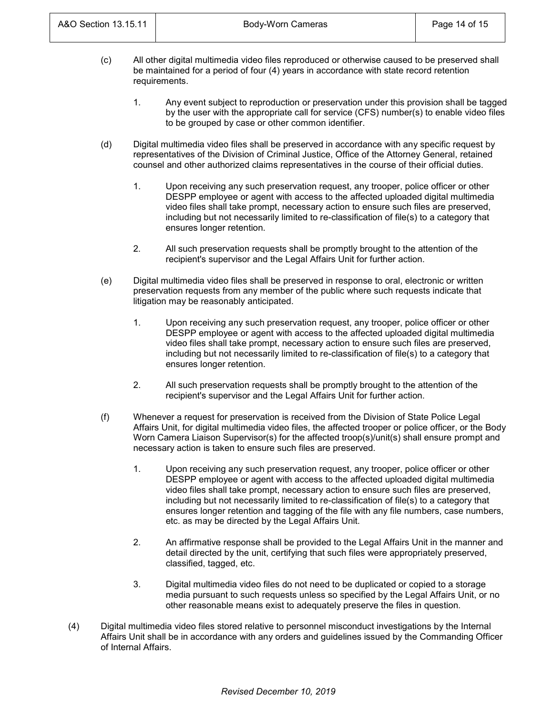- (c) All other digital multimedia video files reproduced or otherwise caused to be preserved shall be maintained for a period of four (4) years in accordance with state record retention requirements.
	- 1. Any event subject to reproduction or preservation under this provision shall be tagged by the user with the appropriate call for service (CFS) number(s) to enable video files to be grouped by case or other common identifier.
- (d) Digital multimedia video files shall be preserved in accordance with any specific request by representatives of the Division of Criminal Justice, Office of the Attorney General, retained counsel and other authorized claims representatives in the course of their official duties.
	- 1. Upon receiving any such preservation request, any trooper, police officer or other DESPP employee or agent with access to the affected uploaded digital multimedia video files shall take prompt, necessary action to ensure such files are preserved, including but not necessarily limited to re-classification of file(s) to a category that ensures longer retention.
	- 2. All such preservation requests shall be promptly brought to the attention of the recipient's supervisor and the Legal Affairs Unit for further action.
- (e) Digital multimedia video files shall be preserved in response to oral, electronic or written preservation requests from any member of the public where such requests indicate that litigation may be reasonably anticipated.
	- 1. Upon receiving any such preservation request, any trooper, police officer or other DESPP employee or agent with access to the affected uploaded digital multimedia video files shall take prompt, necessary action to ensure such files are preserved, including but not necessarily limited to re-classification of file(s) to a category that ensures longer retention.
	- 2. All such preservation requests shall be promptly brought to the attention of the recipient's supervisor and the Legal Affairs Unit for further action.
- (f) Whenever a request for preservation is received from the Division of State Police Legal Affairs Unit, for digital multimedia video files, the affected trooper or police officer, or the Body Worn Camera Liaison Supervisor(s) for the affected troop(s)/unit(s) shall ensure prompt and necessary action is taken to ensure such files are preserved.
	- 1. Upon receiving any such preservation request, any trooper, police officer or other DESPP employee or agent with access to the affected uploaded digital multimedia video files shall take prompt, necessary action to ensure such files are preserved, including but not necessarily limited to re-classification of file(s) to a category that ensures longer retention and tagging of the file with any file numbers, case numbers, etc. as may be directed by the Legal Affairs Unit.
	- 2. An affirmative response shall be provided to the Legal Affairs Unit in the manner and detail directed by the unit, certifying that such files were appropriately preserved, classified, tagged, etc.
	- 3. Digital multimedia video files do not need to be duplicated or copied to a storage media pursuant to such requests unless so specified by the Legal Affairs Unit, or no other reasonable means exist to adequately preserve the files in question.
- (4) Digital multimedia video files stored relative to personnel misconduct investigations by the Internal Affairs Unit shall be in accordance with any orders and guidelines issued by the Commanding Officer of Internal Affairs.